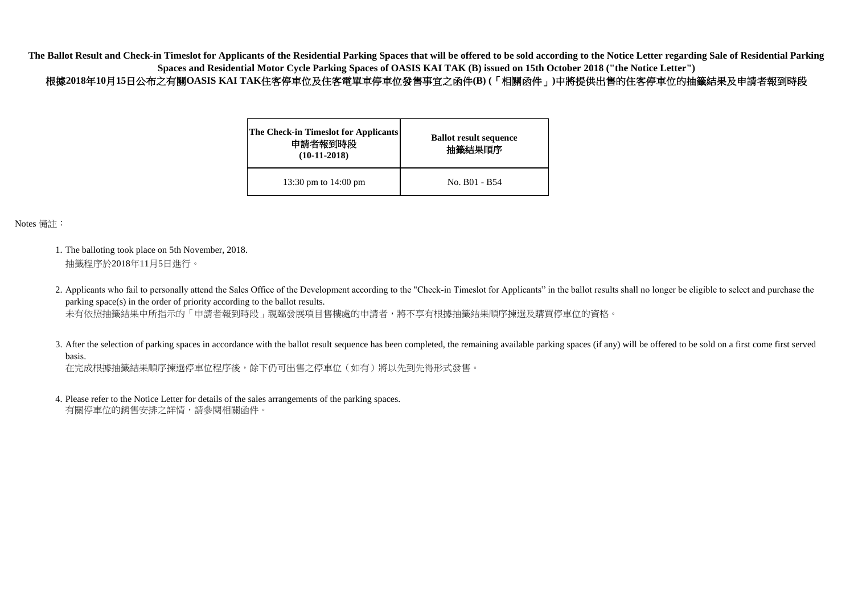| <b>The Check-in Timeslot for Applicants</b><br>申請者報到時段<br>$(10-11-2018)$ | <b>Ballot result sequence</b><br>抽籤結果順序 |  |
|--------------------------------------------------------------------------|-----------------------------------------|--|
| 13:30 pm to $14:00$ pm                                                   | No. B01 - B54                           |  |

Notes 備註:

在完成根據抽籤結果順序揀選停車位程序後,餘下仍可出售之停車位(如有)將以先到先得形式發售。

4. Please refer to the Notice Letter for details of the sales arrangements of the parking spaces. 有關停車位的銷售安排之詳情,請參閱相關函件。

- 1. The balloting took place on 5th November, 2018. 抽籤程序於2018年11月5日進行。
- 2. Applicants who fail to personally attend the Sales Office of the Development according to the "Check-in Timeslot for Applicants" in the ballot results shall no longer be eligible to select and purchase the parking space(s) in the order of priority according to the ballot results. 未有依照抽籤結果中所指示的「申請者報到時段」親臨發展項目售樓處的申請者,將不享有根據抽籤結果順序揀選及購買停車位的資格。
- 3. After the selection of parking spaces in accordance with the ballot result sequence has been completed, the remaining available parking spaces (if any) will be offered to be sold on a first come first served basis.

**The Ballot Result and Check-in Timeslot for Applicants of the Residential Parking Spaces that will be offered to be sold according to the Notice Letter regarding Sale of Residential Parking Spaces and Residential Motor Cycle Parking Spaces of OASIS KAI TAK (B) issued on 15th October 2018 ("the Notice Letter")** 根據**2018**年**10**月**15**日公布之有關**OASIS KAI TAK**住客停車位及住客電單車停車位發售事宜之函件**(B) (**「相關函件」**)**中將提供出售的住客停車位的抽籤結果及申請者報到時段